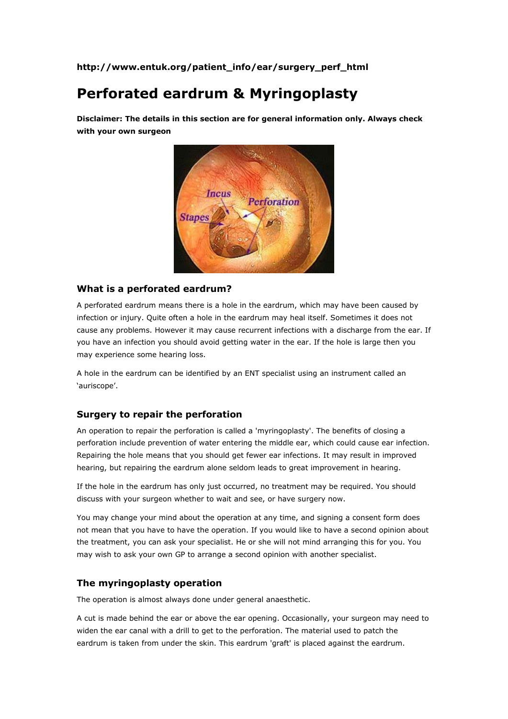**http://www.entuk.org/patient\_info/ear/surgery\_perf\_html**

# **Perforated eardrum & Myringoplasty**

**Disclaimer: The details in this section are for general information only. Always check with your own surgeon**



### **What is a perforated eardrum?**

A perforated eardrum means there is a hole in the eardrum, which may have been caused by infection or injury. Quite often a hole in the eardrum may heal itself. Sometimes it does not cause any problems. However it may cause recurrent infections with a discharge from the ear. If you have an infection you should avoid getting water in the ear. If the hole is large then you may experience some hearing loss.

A hole in the eardrum can be identified by an ENT specialist using an instrument called an 'auriscope'.

### **Surgery to repair the perforation**

An operation to repair the perforation is called a 'myringoplasty'. The benefits of closing a perforation include prevention of water entering the middle ear, which could cause ear infection. Repairing the hole means that you should get fewer ear infections. It may result in improved hearing, but repairing the eardrum alone seldom leads to great improvement in hearing.

If the hole in the eardrum has only just occurred, no treatment may be required. You should discuss with your surgeon whether to wait and see, or have surgery now.

You may change your mind about the operation at any time, and signing a consent form does not mean that you have to have the operation. If you would like to have a second opinion about the treatment, you can ask your specialist. He or she will not mind arranging this for you. You may wish to ask your own GP to arrange a second opinion with another specialist.

### **The myringoplasty operation**

The operation is almost always done under general anaesthetic.

A cut is made behind the ear or above the ear opening. Occasionally, your surgeon may need to widen the ear canal with a drill to get to the perforation. The material used to patch the eardrum is taken from under the skin. This eardrum 'graft' is placed against the eardrum.